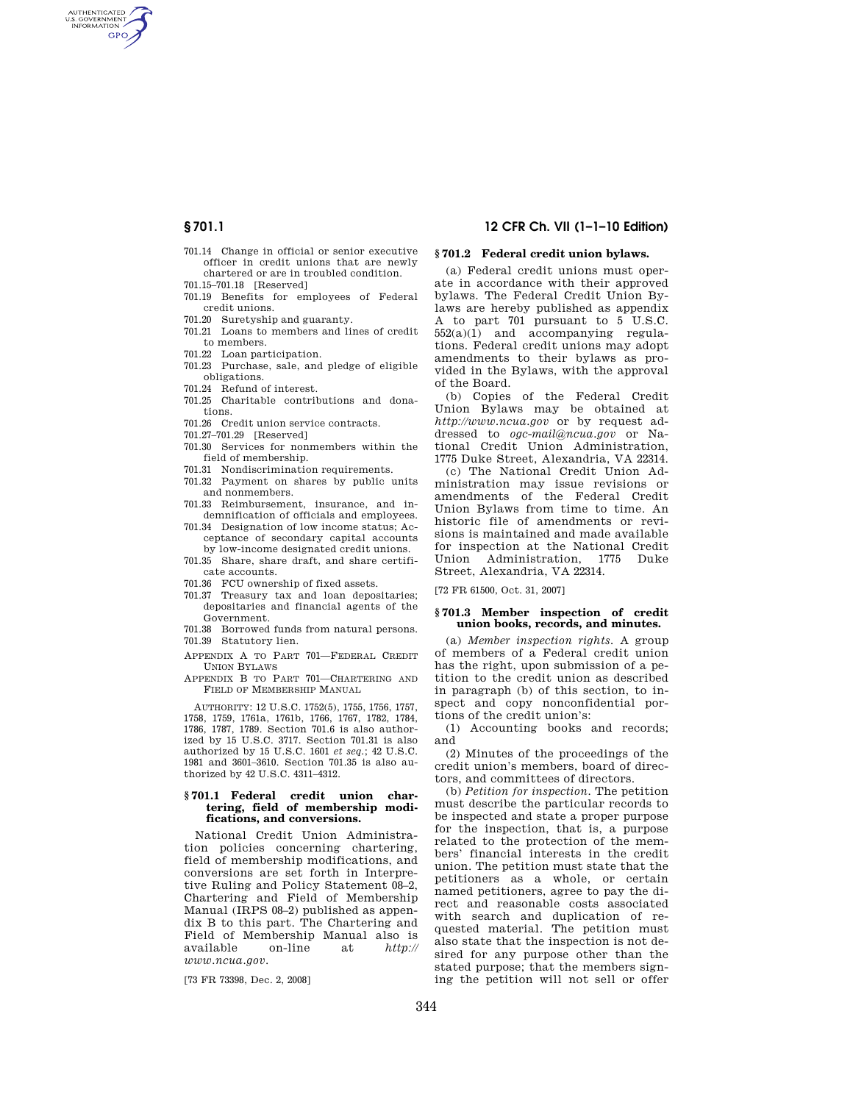AUTHENTICATED<br>U.S. GOVERNMENT<br>INFORMATION **GPO** 

- 701.14 Change in official or senior executive officer in credit unions that are newly chartered or are in troubled condition.
- 701.15–701.18 [Reserved]
- 701.19 Benefits for employees of Federal credit unions.
- 701.20 Suretyship and guaranty. 701.21 Loans to members and lines of credit
- to members. 701.22 Loan participation.
- 701.23 Purchase, sale, and pledge of eligible
- obligations.
- 701.24 Refund of interest.
- 701.25 Charitable contributions and donations.
- 701.26 Credit union service contracts.
- 701.27–701.29 [Reserved]
- 701.30 Services for nonmembers within the field of membership.
- 701.31 Nondiscrimination requirements.
- 701.32 Payment on shares by public units and nonmembers.
- 701.33 Reimbursement, insurance, and indemnification of officials and employees.
- 701.34 Designation of low income status; Acceptance of secondary capital accounts
- by low-income designated credit unions. 701.35 Share, share draft, and share certificate accounts.
- 701.36 FCU ownership of fixed assets.
- 701.37 Treasury tax and loan depositaries; depositaries and financial agents of the Government.
- 701.38 Borrowed funds from natural persons. 701.39 Statutory lien.
- APPENDIX A TO PART 701—FEDERAL CREDIT UNION BYLAWS
- APPENDIX B TO PART 701—CHARTERING AND FIELD OF MEMBERSHIP MANUAL

AUTHORITY: 12 U.S.C. 1752(5), 1755, 1756, 1757, 1758, 1759, 1761a, 1761b, 1766, 1767, 1782, 1784, 1786, 1787, 1789. Section 701.6 is also authorized by 15 U.S.C. 3717. Section 701.31 is also authorized by 15 U.S.C. 1601 *et seq.*; 42 U.S.C. 1981 and 3601–3610. Section 701.35 is also authorized by 42 U.S.C. 4311–4312.

#### **§ 701.1 Federal credit union chartering, field of membership modifications, and conversions.**

National Credit Union Administration policies concerning chartering, field of membership modifications, and conversions are set forth in Interpretive Ruling and Policy Statement 08–2, Chartering and Field of Membership Manual (IRPS 08–2) published as appendix B to this part. The Chartering and Field of Membership Manual also is available on-line at *http:// www.ncua.gov*.

[73 FR 73398, Dec. 2, 2008]

# **§ 701.1 12 CFR Ch. VII (1–1–10 Edition)**

## **§ 701.2 Federal credit union bylaws.**

(a) Federal credit unions must operate in accordance with their approved bylaws. The Federal Credit Union Bylaws are hereby published as appendix A to part 701 pursuant to 5 U.S.C.  $552(a)(1)$  and accompanying regulations. Federal credit unions may adopt amendments to their bylaws as provided in the Bylaws, with the approval of the Board.

(b) Copies of the Federal Credit Union Bylaws may be obtained at *http://www.ncua.gov* or by request addressed to *ogc-mail@ncua.gov* or National Credit Union Administration, 1775 Duke Street, Alexandria, VA 22314.

(c) The National Credit Union Administration may issue revisions or amendments of the Federal Credit Union Bylaws from time to time. An historic file of amendments or revisions is maintained and made available for inspection at the National Credit Administration, 1775 Street, Alexandria, VA 22314.

[72 FR 61500, Oct. 31, 2007]

#### **§ 701.3 Member inspection of credit union books, records, and minutes.**

(a) *Member inspection rights.* A group of members of a Federal credit union has the right, upon submission of a petition to the credit union as described in paragraph (b) of this section, to inspect and copy nonconfidential portions of the credit union's:

(1) Accounting books and records; and

(2) Minutes of the proceedings of the credit union's members, board of directors, and committees of directors.

(b) *Petition for inspection.* The petition must describe the particular records to be inspected and state a proper purpose for the inspection, that is, a purpose related to the protection of the members' financial interests in the credit union. The petition must state that the petitioners as a whole, or certain named petitioners, agree to pay the direct and reasonable costs associated with search and duplication of requested material. The petition must also state that the inspection is not desired for any purpose other than the stated purpose; that the members signing the petition will not sell or offer